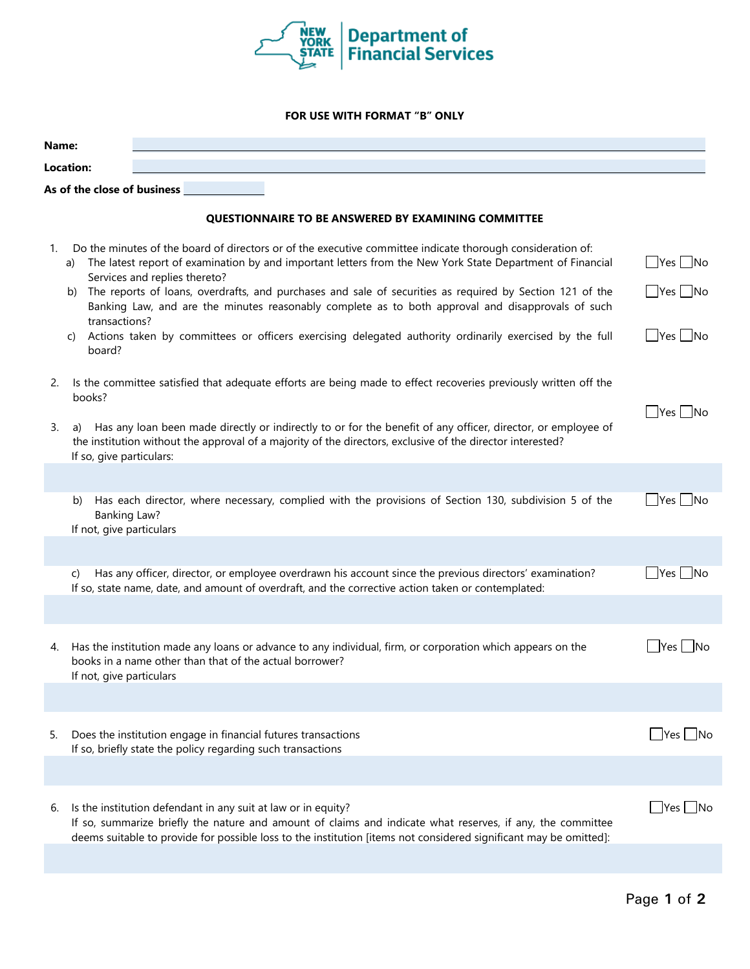

## **FOR USE WITH FORMAT "B" ONLY**

| Name:                                                      |                                                                                                                                                                                                                                                                                                  |                            |  |  |
|------------------------------------------------------------|--------------------------------------------------------------------------------------------------------------------------------------------------------------------------------------------------------------------------------------------------------------------------------------------------|----------------------------|--|--|
| <b>Location:</b>                                           |                                                                                                                                                                                                                                                                                                  |                            |  |  |
| As of the close of business _____                          |                                                                                                                                                                                                                                                                                                  |                            |  |  |
| <b>QUESTIONNAIRE TO BE ANSWERED BY EXAMINING COMMITTEE</b> |                                                                                                                                                                                                                                                                                                  |                            |  |  |
|                                                            |                                                                                                                                                                                                                                                                                                  |                            |  |  |
| 1.                                                         | Do the minutes of the board of directors or of the executive committee indicate thorough consideration of:<br>The latest report of examination by and important letters from the New York State Department of Financial<br>a)<br>Services and replies thereto?                                   | $\Box$ Yes $\Box$ No       |  |  |
|                                                            | The reports of loans, overdrafts, and purchases and sale of securities as required by Section 121 of the<br>b)<br>Banking Law, and are the minutes reasonably complete as to both approval and disapprovals of such                                                                              | $\bigcup$ Yes $\bigcup$ No |  |  |
|                                                            | transactions?<br>Actions taken by committees or officers exercising delegated authority ordinarily exercised by the full<br>C)<br>board?                                                                                                                                                         | $\Box$ Yes $\Box$ No       |  |  |
| 2.                                                         | Is the committee satisfied that adequate efforts are being made to effect recoveries previously written off the<br>books?                                                                                                                                                                        |                            |  |  |
| 3.                                                         | Has any loan been made directly or indirectly to or for the benefit of any officer, director, or employee of<br>a)<br>the institution without the approval of a majority of the directors, exclusive of the director interested?<br>If so, give particulars:                                     | $Yes$ No                   |  |  |
|                                                            |                                                                                                                                                                                                                                                                                                  |                            |  |  |
|                                                            | Has each director, where necessary, complied with the provisions of Section 130, subdivision 5 of the<br>b)<br><b>Banking Law?</b><br>If not, give particulars                                                                                                                                   | $\bigcup$ Yes $\bigcup$ No |  |  |
|                                                            |                                                                                                                                                                                                                                                                                                  |                            |  |  |
|                                                            | Has any officer, director, or employee overdrawn his account since the previous directors' examination?<br>C)<br>If so, state name, date, and amount of overdraft, and the corrective action taken or contemplated:                                                                              | ∐No                        |  |  |
|                                                            |                                                                                                                                                                                                                                                                                                  |                            |  |  |
| 4.                                                         | Has the institution made any loans or advance to any individual, firm, or corporation which appears on the<br>books in a name other than that of the actual borrower?<br>If not, give particulars                                                                                                | Yes   No                   |  |  |
|                                                            |                                                                                                                                                                                                                                                                                                  |                            |  |  |
| 5.                                                         | Does the institution engage in financial futures transactions<br>If so, briefly state the policy regarding such transactions                                                                                                                                                                     | $ $ Yes $ $ No             |  |  |
|                                                            |                                                                                                                                                                                                                                                                                                  |                            |  |  |
| 6.                                                         | Is the institution defendant in any suit at law or in equity?<br>If so, summarize briefly the nature and amount of claims and indicate what reserves, if any, the committee<br>deems suitable to provide for possible loss to the institution [items not considered significant may be omitted]: | Yes<br>-INo                |  |  |
|                                                            |                                                                                                                                                                                                                                                                                                  |                            |  |  |